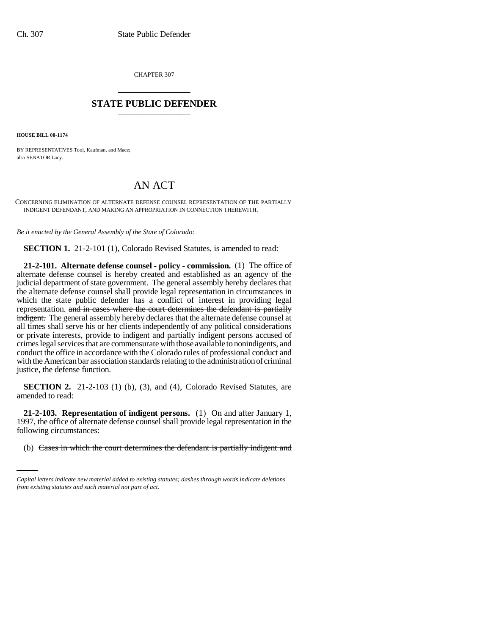CHAPTER 307 \_\_\_\_\_\_\_\_\_\_\_\_\_\_\_

## **STATE PUBLIC DEFENDER** \_\_\_\_\_\_\_\_\_\_\_\_\_\_\_

**HOUSE BILL 00-1174** 

BY REPRESENTATIVES Tool, Kaufman, and Mace; also SENATOR Lacy.

## AN ACT

CONCERNING ELIMINATION OF ALTERNATE DEFENSE COUNSEL REPRESENTATION OF THE PARTIALLY INDIGENT DEFENDANT, AND MAKING AN APPROPRIATION IN CONNECTION THEREWITH.

*Be it enacted by the General Assembly of the State of Colorado:*

**SECTION 1.** 21-2-101 (1), Colorado Revised Statutes, is amended to read:

**21-2-101. Alternate defense counsel - policy - commission.** (1) The office of alternate defense counsel is hereby created and established as an agency of the judicial department of state government. The general assembly hereby declares that the alternate defense counsel shall provide legal representation in circumstances in which the state public defender has a conflict of interest in providing legal representation. and in cases where the court determines the defendant is partially indigent. The general assembly hereby declares that the alternate defense counsel at all times shall serve his or her clients independently of any political considerations or private interests, provide to indigent and partially indigent persons accused of crimes legal services that are commensurate with those available to nonindigents, and conduct the office in accordance with the Colorado rules of professional conduct and with the American bar association standards relating to the administration of criminal justice, the defense function.

**SECTION 2.** 21-2-103 (1) (b), (3), and (4), Colorado Revised Statutes, are amended to read:

following circumstances: **21-2-103. Representation of indigent persons.** (1) On and after January 1, 1997, the office of alternate defense counsel shall provide legal representation in the

(b) Cases in which the court determines the defendant is partially indigent and

*Capital letters indicate new material added to existing statutes; dashes through words indicate deletions from existing statutes and such material not part of act.*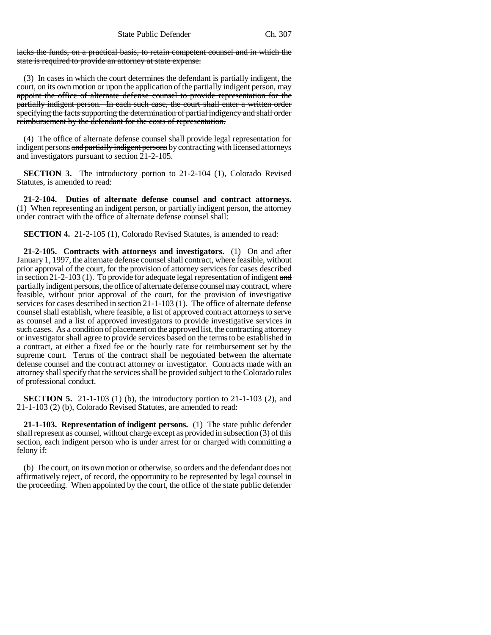lacks the funds, on a practical basis, to retain competent counsel and in which the state is required to provide an attorney at state expense.

(3) In cases in which the court determines the defendant is partially indigent, the court, on its own motion or upon the application of the partially indigent person, may appoint the office of alternate defense counsel to provide representation for the partially indigent person. In each such case, the court shall enter a written order specifying the facts supporting the determination of partial indigency and shall order reimbursement by the defendant for the costs of representation.

(4) The office of alternate defense counsel shall provide legal representation for indigent persons and partially indigent persons by contracting with licensed attorneys and investigators pursuant to section 21-2-105.

**SECTION 3.** The introductory portion to 21-2-104 (1), Colorado Revised Statutes, is amended to read:

**21-2-104. Duties of alternate defense counsel and contract attorneys.** (1) When representing an indigent person,  $or$  partially indigent person, the attorney under contract with the office of alternate defense counsel shall:

**SECTION 4.** 21-2-105 (1), Colorado Revised Statutes, is amended to read:

**21-2-105. Contracts with attorneys and investigators.** (1) On and after January 1, 1997, the alternate defense counsel shall contract, where feasible, without prior approval of the court, for the provision of attorney services for cases described in section 21-2-103 (1). To provide for adequate legal representation of indigent and partially indigent persons, the office of alternate defense counsel may contract, where feasible, without prior approval of the court, for the provision of investigative services for cases described in section 21-1-103 (1). The office of alternate defense counsel shall establish, where feasible, a list of approved contract attorneys to serve as counsel and a list of approved investigators to provide investigative services in such cases. As a condition of placement on the approved list, the contracting attorney or investigator shall agree to provide services based on the terms to be established in a contract, at either a fixed fee or the hourly rate for reimbursement set by the supreme court. Terms of the contract shall be negotiated between the alternate defense counsel and the contract attorney or investigator. Contracts made with an attorney shall specify that the services shall be provided subject to the Colorado rules of professional conduct.

**SECTION 5.** 21-1-103 (1) (b), the introductory portion to 21-1-103 (2), and 21-1-103 (2) (b), Colorado Revised Statutes, are amended to read:

**21-1-103. Representation of indigent persons.** (1) The state public defender shall represent as counsel, without charge except as provided in subsection (3) of this section, each indigent person who is under arrest for or charged with committing a felony if:

(b) The court, on its own motion or otherwise, so orders and the defendant does not affirmatively reject, of record, the opportunity to be represented by legal counsel in the proceeding. When appointed by the court, the office of the state public defender